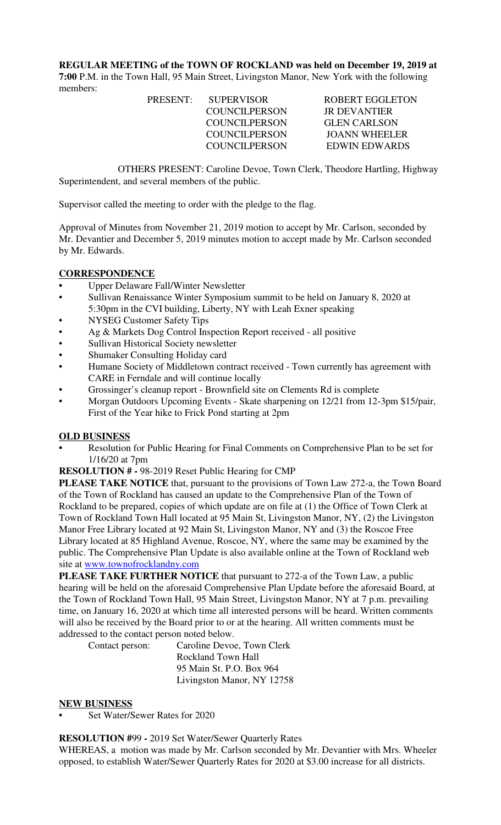**REGULAR MEETING of the TOWN OF ROCKLAND was held on December 19, 2019 at 7:00** P.M. in the Town Hall, 95 Main Street, Livingston Manor, New York with the following members:

 COUNCILPERSON JR DEVANTIER COUNCILPERSON GLEN CARLSON

PRESENT: SUPERVISOR ROBERT EGGLETON COUNCILPERSON JOANN WHEELER COUNCILPERSON EDWIN EDWARDS

OTHERS PRESENT: Caroline Devoe, Town Clerk, Theodore Hartling, Highway Superintendent, and several members of the public.

Supervisor called the meeting to order with the pledge to the flag.

Approval of Minutes from November 21, 2019 motion to accept by Mr. Carlson, seconded by Mr. Devantier and December 5, 2019 minutes motion to accept made by Mr. Carlson seconded by Mr. Edwards.

## **CORRESPONDENCE**

- **•** Upper Delaware Fall/Winter Newsletter
- Sullivan Renaissance Winter Symposium summit to be held on January 8, 2020 at 5:30pm in the CVI building, Liberty, NY with Leah Exner speaking
- NYSEG Customer Safety Tips
- Ag & Markets Dog Control Inspection Report received all positive
- Sullivan Historical Society newsletter
- Shumaker Consulting Holiday card
- Humane Society of Middletown contract received Town currently has agreement with CARE in Ferndale and will continue locally
- Grossinger's cleanup report Brownfield site on Clements Rd is complete
- Morgan Outdoors Upcoming Events Skate sharpening on 12/21 from 12-3pm \$15/pair, First of the Year hike to Frick Pond starting at 2pm

### **OLD BUSINESS**

- **•** Resolution for Public Hearing for Final Comments on Comprehensive Plan to be set for 1/16/20 at 7pm
- **RESOLUTION # -** 98-2019 Reset Public Hearing for CMP

**PLEASE TAKE NOTICE** that, pursuant to the provisions of Town Law 272-a, the Town Board of the Town of Rockland has caused an update to the Comprehensive Plan of the Town of Rockland to be prepared, copies of which update are on file at (1) the Office of Town Clerk at Town of Rockland Town Hall located at 95 Main St, Livingston Manor, NY, (2) the Livingston Manor Free Library located at 92 Main St, Livingston Manor, NY and (3) the Roscoe Free Library located at 85 Highland Avenue, Roscoe, NY, where the same may be examined by the public. The Comprehensive Plan Update is also available online at the Town of Rockland web site at www.townofrocklandny.com

**PLEASE TAKE FURTHER NOTICE** that pursuant to 272-a of the Town Law, a public hearing will be held on the aforesaid Comprehensive Plan Update before the aforesaid Board, at the Town of Rockland Town Hall, 95 Main Street, Livingston Manor, NY at 7 p.m. prevailing time, on January 16, 2020 at which time all interested persons will be heard. Written comments will also be received by the Board prior to or at the hearing. All written comments must be addressed to the contact person noted below.

Contact person: Caroline Devoe, Town Clerk Rockland Town Hall 95 Main St. P.O. Box 964 Livingston Manor, NY 12758

### **NEW BUSINESS**

Set Water/Sewer Rates for 2020

### **RESOLUTION #**99 **-** 2019 Set Water/Sewer Quarterly Rates

WHEREAS, a motion was made by Mr. Carlson seconded by Mr. Devantier with Mrs. Wheeler opposed, to establish Water/Sewer Quarterly Rates for 2020 at \$3.00 increase for all districts.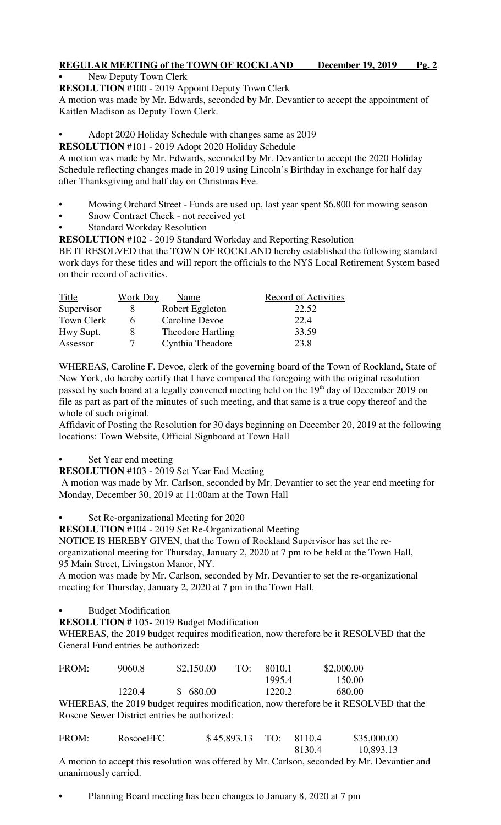# **REGULAR MEETING of the TOWN OF ROCKLAND December 19, 2019 Pg. 2**

New Deputy Town Clerk

**RESOLUTION** #100 - 2019 Appoint Deputy Town Clerk

A motion was made by Mr. Edwards, seconded by Mr. Devantier to accept the appointment of Kaitlen Madison as Deputy Town Clerk.

- Adopt 2020 Holiday Schedule with changes same as 2019
- **RESOLUTION** #101 2019 Adopt 2020 Holiday Schedule

A motion was made by Mr. Edwards, seconded by Mr. Devantier to accept the 2020 Holiday Schedule reflecting changes made in 2019 using Lincoln's Birthday in exchange for half day after Thanksgiving and half day on Christmas Eve.

- Mowing Orchard Street Funds are used up, last year spent \$6,800 for mowing season
- Snow Contract Check not received yet
- **Standard Workday Resolution**
- **RESOLUTION** #102 2019 Standard Workday and Reporting Resolution

BE IT RESOLVED that the TOWN OF ROCKLAND hereby established the following standard work days for these titles and will report the officials to the NYS Local Retirement System based on their record of activities.

| Title      | Work Day | Name                     | <b>Record of Activities</b> |
|------------|----------|--------------------------|-----------------------------|
| Supervisor |          | Robert Eggleton          | 22.52                       |
| Town Clerk | h        | Caroline Devoe           | 22.4                        |
| Hwy Supt.  | x        | <b>Theodore Hartling</b> | 33.59                       |
| Assessor   | 7        | Cynthia Theadore         | 23.8                        |

WHEREAS, Caroline F. Devoe, clerk of the governing board of the Town of Rockland, State of New York, do hereby certify that I have compared the foregoing with the original resolution passed by such board at a legally convened meeting held on the 19<sup>th</sup> day of December 2019 on file as part as part of the minutes of such meeting, and that same is a true copy thereof and the whole of such original.

Affidavit of Posting the Resolution for 30 days beginning on December 20, 2019 at the following locations: Town Website, Official Signboard at Town Hall

Set Year end meeting

**RESOLUTION** #103 - 2019 Set Year End Meeting

 A motion was made by Mr. Carlson, seconded by Mr. Devantier to set the year end meeting for Monday, December 30, 2019 at 11:00am at the Town Hall

• Set Re-organizational Meeting for 2020

**RESOLUTION** #104 - 2019 Set Re-Organizational Meeting

NOTICE IS HEREBY GIVEN, that the Town of Rockland Supervisor has set the reorganizational meeting for Thursday, January 2, 2020 at 7 pm to be held at the Town Hall, 95 Main Street, Livingston Manor, NY.

A motion was made by Mr. Carlson, seconded by Mr. Devantier to set the re-organizational meeting for Thursday, January 2, 2020 at 7 pm in the Town Hall.

• Budget Modification

**RESOLUTION #** 105**-** 2019 Budget Modification

WHEREAS, the 2019 budget requires modification, now therefore be it RESOLVED that the General Fund entries be authorized:

| FROM: | 9060.8                                       | \$2,150.00 | TO: | 8010.1 | \$2,000.00                                                                            |  |
|-------|----------------------------------------------|------------|-----|--------|---------------------------------------------------------------------------------------|--|
|       |                                              |            |     | 1995.4 | 150.00                                                                                |  |
|       | 1220.4                                       | \$680.00   |     | 1220.2 | 680.00                                                                                |  |
|       |                                              |            |     |        | WHEREAS, the 2019 budget requires modification, now therefore be it RESOLVED that the |  |
|       | Roscoe Sewer District entries be authorized: |            |     |        |                                                                                       |  |

| FROM: | RoscoeEFC | $$45,893.13$ TO: 8110.4 |        | \$35,000.00 |
|-------|-----------|-------------------------|--------|-------------|
|       |           |                         | 8130.4 | 10,893.13   |

A motion to accept this resolution was offered by Mr. Carlson, seconded by Mr. Devantier and unanimously carried.

• Planning Board meeting has been changes to January 8, 2020 at 7 pm